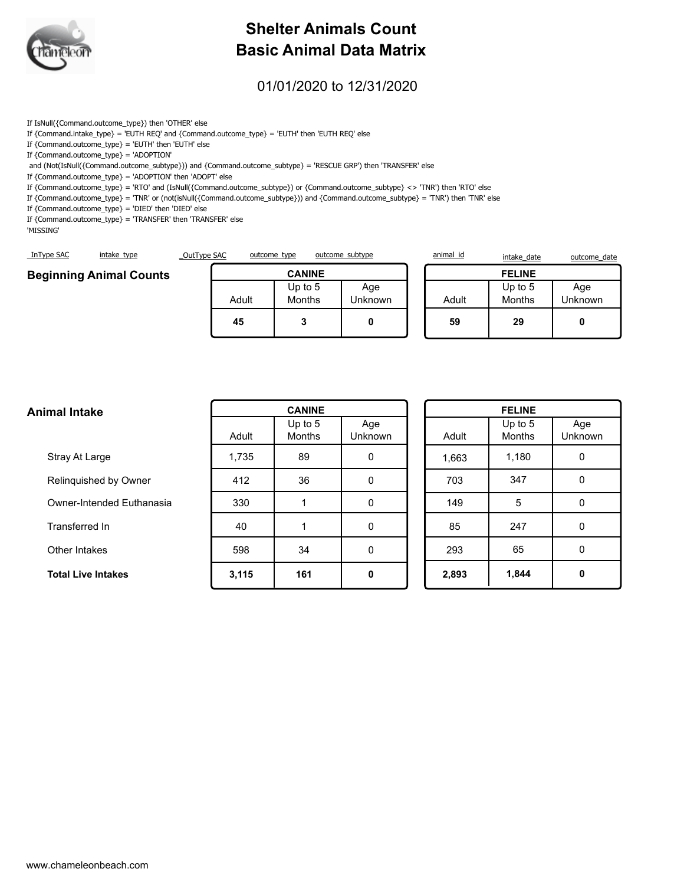

# **Shelter Animals Count Basic Animal Data Matrix**

## 01/01/2020 to 12/31/2020

If IsNull({Command.outcome\_type}) then 'OTHER' else

If {Command.intake\_type} = 'EUTH REQ' and {Command.outcome\_type} = 'EUTH' then 'EUTH REQ' else

If {Command.outcome\_type} = 'EUTH' then 'EUTH' else

If {Command.outcome\_type} = 'ADOPTION'

and (Not(IsNull({Command.outcome\_subtype})) and {Command.outcome\_subtype} = 'RESCUE GRP') then 'TRANSFER' else

If {Command.outcome\_type} = 'ADOPTION' then 'ADOPT' else

If {Command.outcome\_type} = 'RTO' and (IsNull({Command.outcome\_subtype}) or {Command.outcome\_subtype} <> 'TNR') then 'RTO' else

If {Command.outcome\_type} = 'TNR' or (not(isNull({Command.outcome\_subtype})) and {Command.outcome\_subtype} = 'TNR') then 'TNR' else

If {Command.outcome\_type} = 'DIED' then 'DIED' else

If {Command.outcome\_type} = 'TRANSFER' then 'TRANSFER' else

'MISSING'

|                                |             |             | 45            |              | ໍາ        |                 | 59            | 29          | 0            |  |
|--------------------------------|-------------|-------------|---------------|--------------|-----------|-----------------|---------------|-------------|--------------|--|
|                                |             |             | Adult         |              | Months    | <b>Unknown</b>  | Adult         | Months      | Unknown      |  |
|                                |             |             |               |              | Up to $5$ | Age             |               | Up to $5$   | Age          |  |
| <b>Beginning Animal Counts</b> |             |             | <b>CANINE</b> |              |           |                 | <b>FELINE</b> |             |              |  |
| InType SAC                     | intake type | OutType SAC |               | outcome type |           | outcome subtype | animal id     | intake date | outcome date |  |

| mal Intake                | <b>CANINE</b> |                     |                       | <b>FELINE</b> |                          |  |
|---------------------------|---------------|---------------------|-----------------------|---------------|--------------------------|--|
|                           | Adult         | Up to $5$<br>Months | Age<br><b>Unknown</b> | Adult         | Up to 5<br><b>Months</b> |  |
| Stray At Large            | 1,735         | 89                  | 0                     | 1,663         | 1,180                    |  |
| Relinquished by Owner     | 412           | 36                  | $\Omega$              | 703           | 347                      |  |
| Owner-Intended Euthanasia | 330           |                     | 0                     | 149           | 5                        |  |
| Transferred In            | 40            |                     | 0                     | 85            | 247                      |  |
| Other Intakes             | 598           | 34                  | 0                     | 293           | 65                       |  |
| <b>Total Live Intakes</b> | 3,115         | 161                 | 0                     | 2,893         | 1,844                    |  |

| <b>FELINE</b> |                   |                |  |  |  |  |  |
|---------------|-------------------|----------------|--|--|--|--|--|
| Adult         | Up to 5<br>Months | Age<br>Unknown |  |  |  |  |  |
|               |                   |                |  |  |  |  |  |
| 1,663         | 1,180             | O              |  |  |  |  |  |
| 703           | 347               | 0              |  |  |  |  |  |
| 149           | 5                 | ŋ              |  |  |  |  |  |
| 85            | 247               | 0              |  |  |  |  |  |
| 293           | 65                | O              |  |  |  |  |  |
| 2,893         | 1,844             |                |  |  |  |  |  |